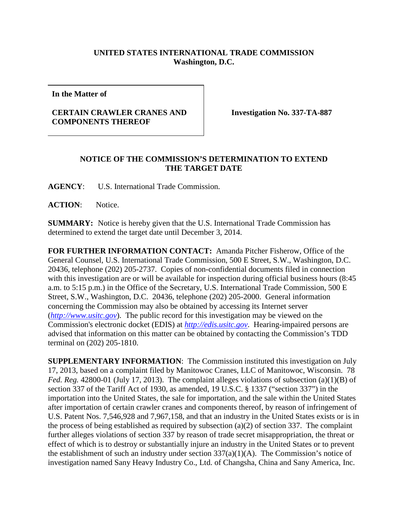## **UNITED STATES INTERNATIONAL TRADE COMMISSION Washington, D.C.**

**In the Matter of**

## **CERTAIN CRAWLER CRANES AND COMPONENTS THEREOF**

**Investigation No. 337-TA-887**

## **NOTICE OF THE COMMISSION'S DETERMINATION TO EXTEND THE TARGET DATE**

**AGENCY**: U.S. International Trade Commission.

ACTION: Notice.

**SUMMARY:** Notice is hereby given that the U.S. International Trade Commission has determined to extend the target date until December 3, 2014.

**FOR FURTHER INFORMATION CONTACT:** Amanda Pitcher Fisherow, Office of the General Counsel, U.S. International Trade Commission, 500 E Street, S.W., Washington, D.C. 20436, telephone (202) 205-2737. Copies of non-confidential documents filed in connection with this investigation are or will be available for inspection during official business hours (8:45 a.m. to 5:15 p.m.) in the Office of the Secretary, U.S. International Trade Commission, 500 E Street, S.W., Washington, D.C. 20436, telephone (202) 205-2000. General information concerning the Commission may also be obtained by accessing its Internet server (*[http://www.usitc.gov](http://www.usitc.gov/)*). The public record for this investigation may be viewed on the Commission's electronic docket (EDIS) at *[http://edis.usitc.gov](http://edis.usitc.gov/)*. Hearing-impaired persons are advised that information on this matter can be obtained by contacting the Commission's TDD terminal on (202) 205-1810.

**SUPPLEMENTARY INFORMATION**: The Commission instituted this investigation on July 17, 2013, based on a complaint filed by Manitowoc Cranes, LLC of Manitowoc, Wisconsin. 78 *Fed. Reg.* 42800-01 (July 17, 2013). The complaint alleges violations of subsection (a)(1)(B) of section 337 of the Tariff Act of 1930, as amended, 19 U.S.C. § 1337 ("section 337") in the importation into the United States, the sale for importation, and the sale within the United States after importation of certain crawler cranes and components thereof, by reason of infringement of U.S. Patent Nos. 7,546,928 and 7,967,158, and that an industry in the United States exists or is in the process of being established as required by subsection (a)(2) of section 337. The complaint further alleges violations of section 337 by reason of trade secret misappropriation, the threat or effect of which is to destroy or substantially injure an industry in the United States or to prevent the establishment of such an industry under section  $337(a)(1)(A)$ . The Commission's notice of investigation named Sany Heavy Industry Co., Ltd. of Changsha, China and Sany America, Inc.